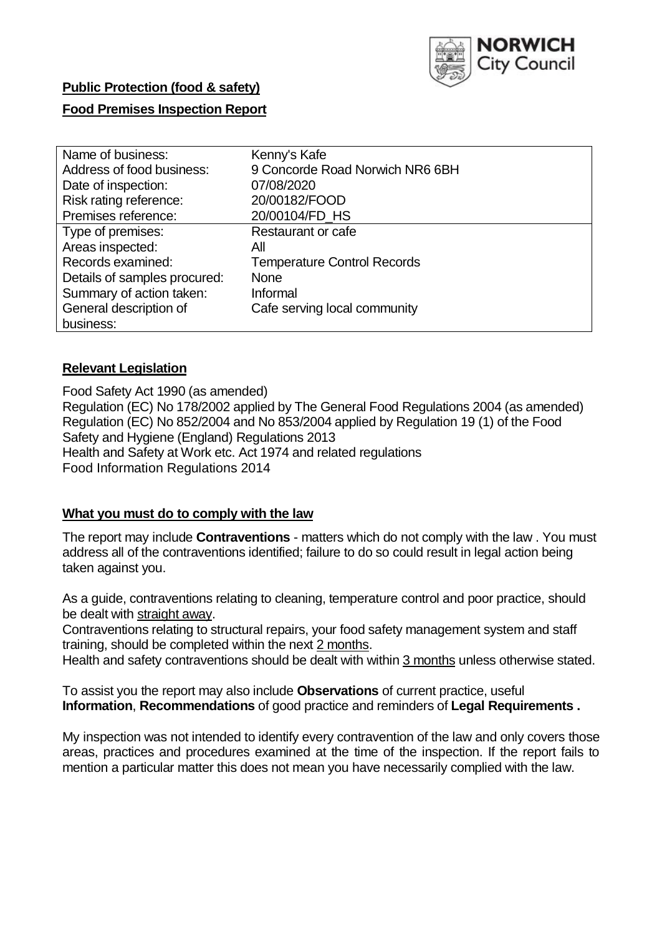

# **Public Protection (food & safety)**

# **Food Premises Inspection Report**

| Name of business:            | Kenny's Kafe                       |
|------------------------------|------------------------------------|
| Address of food business:    | 9 Concorde Road Norwich NR6 6BH    |
| Date of inspection:          | 07/08/2020                         |
| Risk rating reference:       | 20/00182/FOOD                      |
| Premises reference:          | 20/00104/FD_HS                     |
| Type of premises:            | Restaurant or cafe                 |
| Areas inspected:             | All                                |
| Records examined:            | <b>Temperature Control Records</b> |
| Details of samples procured: | <b>None</b>                        |
| Summary of action taken:     | Informal                           |
| General description of       | Cafe serving local community       |
| business:                    |                                    |

# **Relevant Legislation**

 Food Safety Act 1990 (as amended) Regulation (EC) No 178/2002 applied by The General Food Regulations 2004 (as amended) Regulation (EC) No 852/2004 and No 853/2004 applied by Regulation 19 (1) of the Food Safety and Hygiene (England) Regulations 2013 Health and Safety at Work etc. Act 1974 and related regulations Food Information Regulations 2014

# **What you must do to comply with the law**

 The report may include **Contraventions** - matters which do not comply with the law . You must address all of the contraventions identified; failure to do so could result in legal action being taken against you.

 As a guide, contraventions relating to cleaning, temperature control and poor practice, should be dealt with straight away.

 Contraventions relating to structural repairs, your food safety management system and staff training, should be completed within the next 2 months.

Health and safety contraventions should be dealt with within 3 months unless otherwise stated.

 To assist you the report may also include **Observations** of current practice, useful **Information**, **Recommendations** of good practice and reminders of **Legal Requirements .** 

 My inspection was not intended to identify every contravention of the law and only covers those areas, practices and procedures examined at the time of the inspection. If the report fails to mention a particular matter this does not mean you have necessarily complied with the law.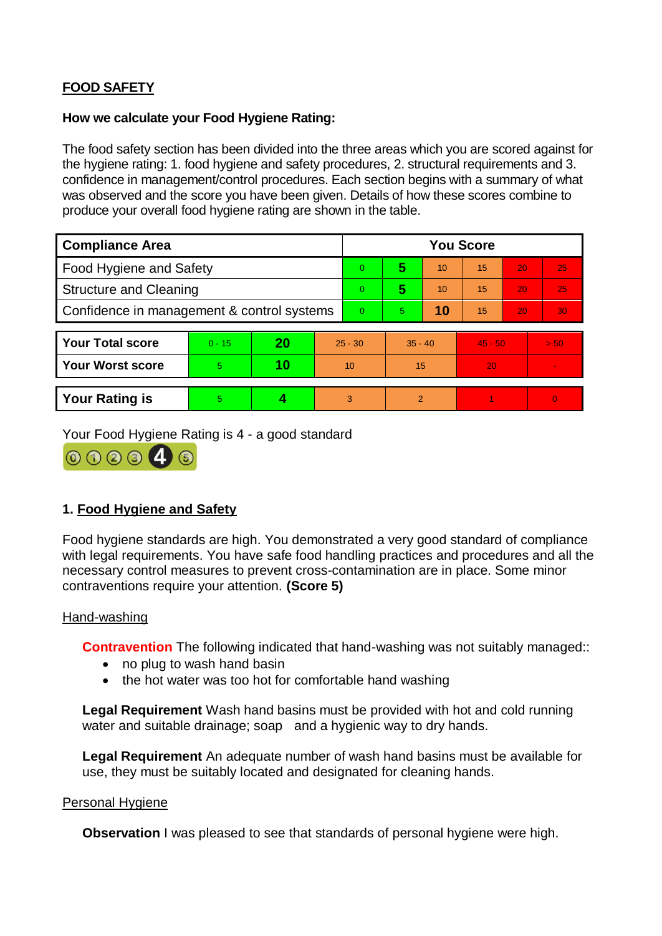# **FOOD SAFETY**

# **How we calculate your Food Hygiene Rating:**

 The food safety section has been divided into the three areas which you are scored against for the hygiene rating: 1. food hygiene and safety procedures, 2. structural requirements and 3. confidence in management/control procedures. Each section begins with a summary of what was observed and the score you have been given. Details of how these scores combine to produce your overall food hygiene rating are shown in the table.

| <b>Compliance Area</b>                     |          |    |           | <b>You Score</b> |           |    |           |    |                |  |  |
|--------------------------------------------|----------|----|-----------|------------------|-----------|----|-----------|----|----------------|--|--|
| Food Hygiene and Safety                    |          |    |           | $\overline{0}$   | 5         | 10 | 15        | 20 | 25             |  |  |
| <b>Structure and Cleaning</b>              |          |    |           | $\Omega$         | 5         | 10 | 15        | 20 | 25             |  |  |
| Confidence in management & control systems |          |    |           | $\Omega$         | 5         | 10 | 15        | 20 | 30             |  |  |
|                                            |          |    |           |                  |           |    |           |    |                |  |  |
| <b>Your Total score</b>                    | $0 - 15$ | 20 | $25 - 30$ |                  | $35 - 40$ |    | $45 - 50$ |    | > 50           |  |  |
| <b>Your Worst score</b>                    | 5        | 10 | 10        |                  | 15        |    | 20        |    |                |  |  |
|                                            |          |    |           |                  |           |    |           |    |                |  |  |
| <b>Your Rating is</b>                      | 5        |    |           | 3                | 2         |    |           |    | $\overline{0}$ |  |  |

Your Food Hygiene Rating is 4 - a good standard



# **1. Food Hygiene and Safety**

 with legal requirements. You have safe food handling practices and procedures and all the necessary control measures to prevent cross-contamination are in place. Some minor Food hygiene standards are high. You demonstrated a very good standard of compliance contraventions require your attention. **(Score 5)** 

### Hand-washing

**Contravention** The following indicated that hand-washing was not suitably managed::

- no plug to wash hand basin
- the hot water was too hot for comfortable hand washing

 **Legal Requirement** Wash hand basins must be provided with hot and cold running water and suitable drainage; soap and a hygienic way to dry hands.

**Legal Requirement** An adequate number of wash hand basins must be available for use, they must be suitably located and designated for cleaning hands.

### Personal Hygiene

**Observation** I was pleased to see that standards of personal hygiene were high.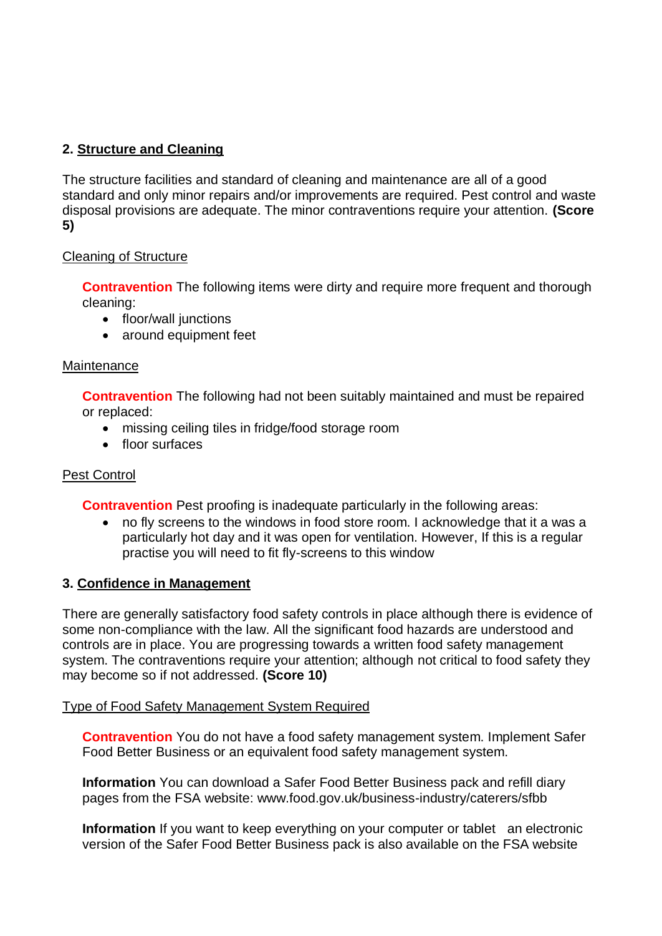# **2. Structure and Cleaning**

The structure facilities and standard of cleaning and maintenance are all of a good standard and only minor repairs and/or improvements are required. Pest control and waste disposal provisions are adequate. The minor contraventions require your attention. **(Score 5)** 

# Cleaning of Structure

**Contravention** The following items were dirty and require more frequent and thorough cleaning:

- floor/wall junctions
- around equipment feet

### **Maintenance**

**Contravention** The following had not been suitably maintained and must be repaired or replaced:

- missing ceiling tiles in fridge/food storage room
- floor surfaces

# **Pest Control**

**Contravention** Pest proofing is inadequate particularly in the following areas:

 no fly screens to the windows in food store room. I acknowledge that it a was a particularly hot day and it was open for ventilation. However, If this is a regular practise you will need to fit fly-screens to this window

# **3. Confidence in Management**

 There are generally satisfactory food safety controls in place although there is evidence of some non-compliance with the law. All the significant food hazards are understood and controls are in place. You are progressing towards a written food safety management system. The contraventions require your attention; although not critical to food safety they may become so if not addressed. **(Score 10)** 

### Type of Food Safety Management System Required

**Contravention** You do not have a food safety management system. Implement Safer Food Better Business or an equivalent food safety management system.

**Information** You can download a Safer Food Better Business pack and refill diary pages from the FSA website: <www.food.gov.uk/business-industry/caterers/sfbb>

 **Information** If you want to keep everything on your computer or tablet an electronic version of the Safer Food Better Business pack is also available on the FSA website